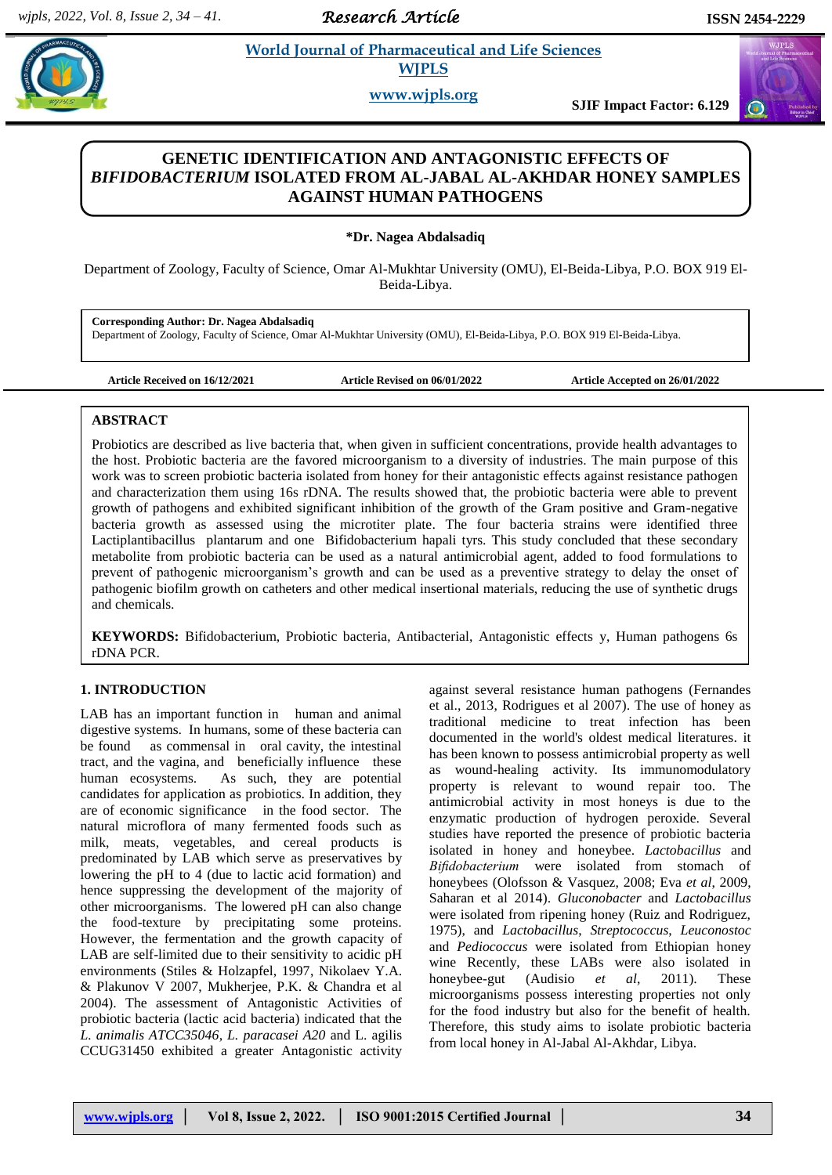*Research Article* 

 $\odot$ 

**Paramaceutical and Life Sciences WJPLS**

**www.wjpls.org**

**SJIF Impact Factor: 6.129**

# **GENETIC IDENTIFICATION AND ANTAGONISTIC EFFECTS OF**  *BIFIDOBACTERIUM* **ISOLATED FROM AL-JABAL AL-AKHDAR HONEY SAMPLES AGAINST HUMAN PATHOGENS**

**\*Dr. Nagea Abdalsadiq**

Department of Zoology, Faculty of Science, Omar Al-Mukhtar University (OMU), El-Beida-Libya, P.O. BOX 919 El-Beida-Libya.

**Corresponding Author: Dr. Nagea Abdalsadiq** Department of Zoology, Faculty of Science, Omar Al-Mukhtar University (OMU), El-Beida-Libya, P.O. BOX 919 El-Beida-Libya.

**Article Received on 16/12/2021 Article Revised on 06/01/2022 Article Accepted on 26/01/2022**

# **ABSTRACT**

Probiotics are described as live bacteria that, when given in sufficient concentrations, provide health advantages to the host. Probiotic bacteria are the favored microorganism to a diversity of industries. The main purpose of this work was to screen probiotic bacteria isolated from honey for their antagonistic effects against resistance pathogen and characterization them using 16s rDNA. The results showed that, the probiotic bacteria were able to prevent growth of pathogens and exhibited significant inhibition of the growth of the Gram positive and Gram-negative bacteria growth as assessed using the microtiter plate. The four bacteria strains were identified three [Lactiplantibacillus plantarum](https://www.ncbi.nlm.nih.gov/Taxonomy/Browser/wwwtax.cgi?mode=Info&id=1327988&lvl=3&lin=f&keep=1&srchmode=1&unlock) and one [Bifidobacterium](https://www.ncbi.nlm.nih.gov/Taxonomy/Browser/wwwtax.cgi?mode=Info&id=1358&lvl=3&lin=f&keep=1&srchmode=1&unlock) [hapali tyrs. This study concluded that these secondary](https://www.ncbi.nlm.nih.gov/Taxonomy/Browser/wwwtax.cgi?mode=Info&id=1358&lvl=3&lin=f&keep=1&srchmode=1&unlock)  [metabolite from probiotic bacteria can be used as a natural antimicrobial agent, added to food formulations to](https://www.ncbi.nlm.nih.gov/Taxonomy/Browser/wwwtax.cgi?mode=Info&id=1358&lvl=3&lin=f&keep=1&srchmode=1&unlock)  [prevent of pathogenic microorganism's growth and can be used as a preventive strategy to delay the onset of](https://www.ncbi.nlm.nih.gov/Taxonomy/Browser/wwwtax.cgi?mode=Info&id=1358&lvl=3&lin=f&keep=1&srchmode=1&unlock)  [pathogenic biofilm growth on catheters and other medical insertional materials, reducing the use of synthetic drugs](https://www.ncbi.nlm.nih.gov/Taxonomy/Browser/wwwtax.cgi?mode=Info&id=1358&lvl=3&lin=f&keep=1&srchmode=1&unlock)  [and chemicals.](https://www.ncbi.nlm.nih.gov/Taxonomy/Browser/wwwtax.cgi?mode=Info&id=1358&lvl=3&lin=f&keep=1&srchmode=1&unlock)

**KEYWORDS:** Bifidobacterium, Probiotic bacteria, Antibacterial, Antagonistic effects y, Human pathogens 6s rDNA PCR.

# **1. INTRODUCTION**

LAB has an important function in human and animal digestive systems. In humans, some of these bacteria can be found as commensal in oral cavity, the intestinal tract, and the vagina, and beneficially influence these human ecosystems. As such, they are potential candidates for application as probiotics. In addition, they are of economic significance in the food sector. The natural microflora of many fermented foods such as milk, meats, vegetables, and cereal products is predominated by LAB which serve as preservatives by lowering the pH to 4 (due to lactic acid formation) and hence suppressing the development of the majority of other microorganisms. The lowered pH can also change the food-texture by precipitating some proteins. However, the fermentation and the growth capacity of LAB are self-limited due to their sensitivity to acidic pH environments (Stiles & Holzapfel, 1997, Nikolaev Y.A. & Plakunov V 2007, Mukherjee, P.K. & Chandra et al 2004). The assessment of Antagonistic Activities of probiotic bacteria (lactic acid bacteria) indicated that the *L. animalis ATCC35046*, *L. paracasei A20* and L. agilis CCUG31450 exhibited a greater Antagonistic activity against several resistance human pathogens (Fernandes et al., 2013, Rodrigues et al 2007). The use of honey as traditional medicine to treat infection has been documented in the world's oldest medical literatures. it has been known to possess antimicrobial property as well as wound-healing activity. Its immunomodulatory property is relevant to wound repair too. The antimicrobial activity in most honeys is due to the enzymatic production of hydrogen peroxide. Several studies have reported the presence of probiotic bacteria isolated in honey and honeybee. *Lactobacillus* and *Bifidobacterium* were isolated from stomach of honeybees (Olofsson & Vasquez, 2008; Eva *et al*, 2009, Saharan et al 2014). *Gluconobacter* and *Lactobacillus* were isolated from ripening honey (Ruiz and Rodriguez, 1975), and *Lactobacillus*, *Streptococcus*, *Leuconostoc* and *Pediococcus* were isolated from Ethiopian honey wine Recently, these LABs were also isolated in honeybee-gut (Audisio *et al*, 2011). These microorganisms possess interesting properties not only for the food industry but also for the benefit of health. Therefore, this study aims to isolate probiotic bacteria from local honey in Al-Jabal Al-Akhdar, Libya.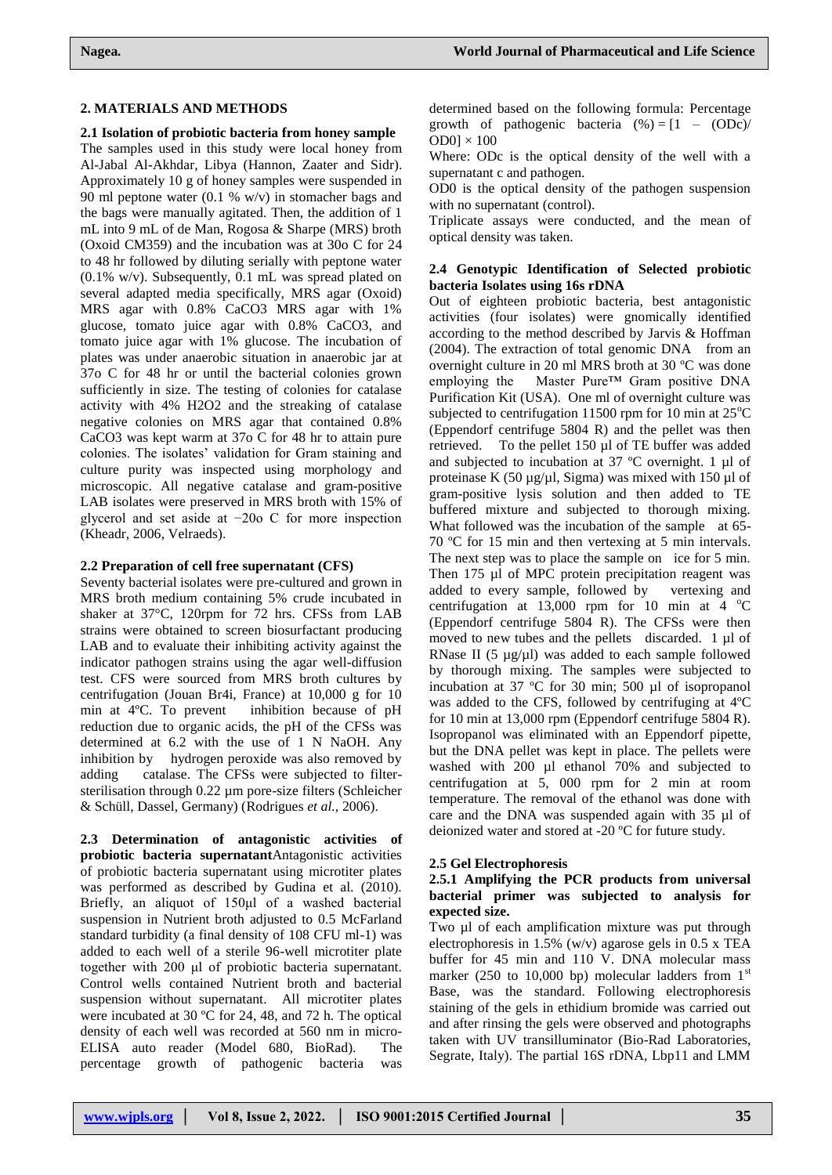#### **2. MATERIALS AND METHODS**

#### **2.1 Isolation of probiotic bacteria from honey sample**

The samples used in this study were local honey from Al-Jabal Al-Akhdar, Libya (Hannon, Zaater and Sidr). Approximately 10 g of honey samples were suspended in 90 ml peptone water  $(0.1 % w/v)$  in stomacher bags and the bags were manually agitated. Then, the addition of 1 mL into 9 mL of de Man, Rogosa & Sharpe (MRS) broth (Oxoid CM359) and the incubation was at 30o C for 24 to 48 hr followed by diluting serially with peptone water (0.1% w/v). Subsequently, 0.1 mL was spread plated on several adapted media specifically, MRS agar (Oxoid) MRS agar with 0.8% CaCO3 MRS agar with 1% glucose, tomato juice agar with 0.8% CaCO3, and tomato juice agar with 1% glucose. The incubation of plates was under anaerobic situation in anaerobic jar at 37o C for 48 hr or until the bacterial colonies grown sufficiently in size. The testing of colonies for catalase activity with 4% H2O2 and the streaking of catalase negative colonies on MRS agar that contained 0.8% CaCO3 was kept warm at 37o C for 48 hr to attain pure colonies. The isolates' validation for Gram staining and culture purity was inspected using morphology and microscopic. All negative catalase and gram-positive LAB isolates were preserved in MRS broth with 15% of glycerol and set aside at −20o C for more inspection (Kheadr, 2006, Velraeds).

#### **2.2 Preparation of cell free supernatant (CFS)**

Seventy bacterial isolates were pre-cultured and grown in MRS broth medium containing 5% crude incubated in shaker at 37°C, 120rpm for 72 hrs. CFSs from LAB strains were obtained to screen biosurfactant producing LAB and to evaluate their inhibiting activity against the indicator pathogen strains using the agar well-diffusion test. CFS were sourced from MRS broth cultures by centrifugation (Jouan Br4i, France) at 10,000 g for 10 min at 4ºC. To prevent inhibition because of pH reduction due to organic acids, the pH of the CFSs was determined at 6.2 with the use of 1 N NaOH. Any inhibition by hydrogen peroxide was also removed by adding catalase. The CFSs were subjected to filtersterilisation through 0.22 µm pore-size filters (Schleicher & Schüll, Dassel, Germany) (Rodrigues *et al.,* 2006).

**2.3 Determination of antagonistic activities of probiotic bacteria supernatant**Antagonistic activities of probiotic bacteria supernatant using microtiter plates was performed as described by Gudina et al. (2010). Briefly, an aliquot of 150μl of a washed bacterial suspension in Nutrient broth adjusted to 0.5 McFarland standard turbidity (a final density of 108 CFU ml-1) was added to each well of a sterile 96-well microtiter plate together with 200 μl of probiotic bacteria supernatant. Control wells contained Nutrient broth and bacterial suspension without supernatant. All microtiter plates were incubated at 30 ºC for 24, 48, and 72 h. The optical density of each well was recorded at 560 nm in micro-ELISA auto reader (Model 680, BioRad). The percentage growth of pathogenic bacteria was

Where: ODc is the optical density of the well with a supernatant c and pathogen.

OD0 is the optical density of the pathogen suspension with no supernatant (control).

Triplicate assays were conducted, and the mean of optical density was taken.

#### **2.4 Genotypic Identification of Selected probiotic bacteria Isolates using 16s rDNA**

Out of eighteen probiotic bacteria, best antagonistic activities (four isolates) were gnomically identified according to the method described by Jarvis & Hoffman (2004). The extraction of total genomic DNA from an overnight culture in 20 ml MRS broth at 30 ºC was done employing the Master Pure™ Gram positive DNA Purification Kit (USA). One ml of overnight culture was subjected to centrifugation 11500 rpm for 10 min at  $25^{\circ}$ C (Eppendorf centrifuge 5804 R) and the pellet was then retrieved. To the pellet 150 µl of TE buffer was added and subjected to incubation at  $37^{\circ}$ C overnight. 1 µl of proteinase K  $(50 \mu g/\mu l, Sigma)$  was mixed with 150  $\mu l$  of gram-positive lysis solution and then added to TE buffered mixture and subjected to thorough mixing. What followed was the incubation of the sample at 65- 70 ºC for 15 min and then vertexing at 5 min intervals. The next step was to place the sample on ice for 5 min. Then 175 µl of MPC protein precipitation reagent was added to every sample, followed by vertexing and centrifugation at 13,000 rpm for 10 min at 4  $^{\circ}$ C (Eppendorf centrifuge 5804 R). The CFSs were then moved to new tubes and the pellets discarded. 1 µl of RNase II (5  $\mu$ g/ $\mu$ l) was added to each sample followed by thorough mixing. The samples were subjected to incubation at 37 ºC for 30 min; 500 µl of isopropanol was added to the CFS, followed by centrifuging at 4ºC for 10 min at 13,000 rpm (Eppendorf centrifuge 5804 R). Isopropanol was eliminated with an Eppendorf pipette, but the DNA pellet was kept in place. The pellets were washed with 200 µl ethanol 70% and subjected to centrifugation at 5, 000 rpm for 2 min at room temperature. The removal of the ethanol was done with care and the DNA was suspended again with 35 µl of deionized water and stored at -20 ºC for future study.

# **2.5 Gel Electrophoresis**

#### **2.5.1 Amplifying the PCR products from universal bacterial primer was subjected to analysis for expected size.**

Two µl of each amplification mixture was put through electrophoresis in 1.5% (w/v) agarose gels in 0.5 x TEA buffer for 45 min and 110 V. DNA molecular mass marker (250 to 10,000 bp) molecular ladders from  $1<sup>st</sup>$ Base, was the standard. Following electrophoresis staining of the gels in ethidium bromide was carried out and after rinsing the gels were observed and photographs taken with UV transilluminator (Bio-Rad Laboratories, Segrate, Italy). The partial 16S rDNA, Lbp11 and LMM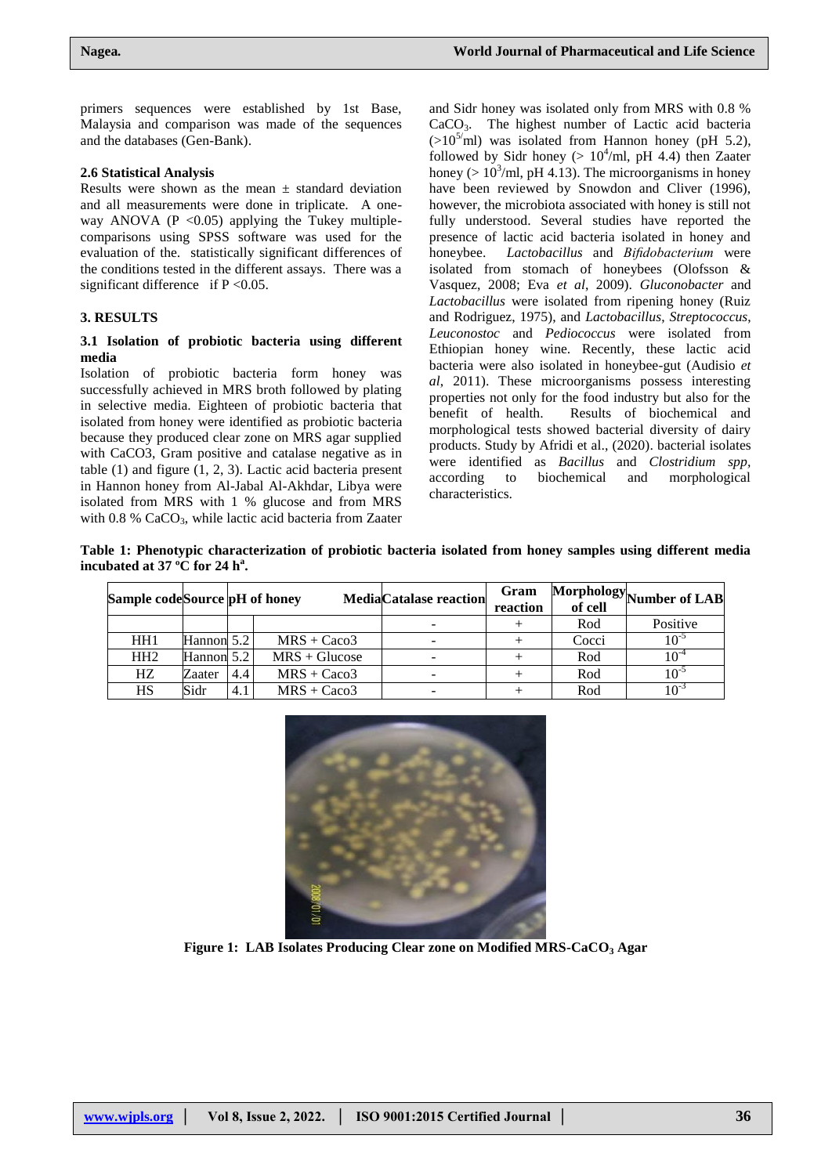primers sequences were established by 1st Base, Malaysia and comparison was made of the sequences and the databases (Gen-Bank).

#### **2.6 Statistical Analysis**

Results were shown as the mean  $\pm$  standard deviation and all measurements were done in triplicate. A oneway ANOVA ( $P < 0.05$ ) applying the Tukey multiplecomparisons using SPSS software was used for the evaluation of the. statistically significant differences of the conditions tested in the different assays. There was a significant difference if  $P \le 0.05$ .

# **3. RESULTS**

# **3.1 Isolation of probiotic bacteria using different media**

Isolation of probiotic bacteria form honey was successfully achieved in MRS broth followed by plating in selective media. Eighteen of probiotic bacteria that isolated from honey were identified as probiotic bacteria because they produced clear zone on MRS agar supplied with CaCO3, Gram positive and catalase negative as in table (1) and figure (1, 2, 3). Lactic acid bacteria present in Hannon honey from Al-Jabal Al-Akhdar, Libya were isolated from MRS with 1 % glucose and from MRS with  $0.8$  % CaCO<sub>3</sub>, while lactic acid bacteria from Zaater

and Sidr honey was isolated only from MRS with 0.8 % CaCO3. The highest number of Lactic acid bacteria  $(>10^{5}/\text{ml})$  was isolated from Hannon honey (pH 5.2), followed by Sidr honey ( $> 10^4$ /ml, pH 4.4) then Zaater honey ( $> 10<sup>3</sup>/ml$ , pH 4.13). The microorganisms in honey have been reviewed by Snowdon and Cliver (1996), however, the microbiota associated with honey is still not fully understood. Several studies have reported the presence of lactic acid bacteria isolated in honey and honeybee. *Lactobacillus* and *Bifidobacterium* were isolated from stomach of honeybees (Olofsson & Vasquez, 2008; Eva *et al*, 2009). *Gluconobacter* and *Lactobacillus* were isolated from ripening honey (Ruiz and Rodriguez, 1975), and *Lactobacillus*, *Streptococcus*, *Leuconostoc* and *Pediococcus* were isolated from Ethiopian honey wine. Recently, these lactic acid bacteria were also isolated in honeybee-gut (Audisio *et al*, 2011). These microorganisms possess interesting properties not only for the food industry but also for the benefit of health. Results of biochemical and morphological tests showed bacterial diversity of dairy products. Study by Afridi et al., (2020). bacterial isolates were identified as *Bacillus* and *Clostridium spp,* according to biochemical and morphological characteristics.

**Table 1: Phenotypic characterization of probiotic bacteria isolated from honey samples using different media incubated at 37 ºC for 24 h<sup>a</sup> .**

| Sample codeSource pH of honey |            |     |                 | <b>MediaCatalase reaction</b> | Gram<br>reaction | of cell | Morphology Number of LAB |
|-------------------------------|------------|-----|-----------------|-------------------------------|------------------|---------|--------------------------|
|                               |            |     |                 |                               |                  | Rod     | Positive                 |
| HH <sub>1</sub>               | Hannon 5.2 |     | $MRS + Caco3$   | $\overline{\phantom{0}}$      |                  | Cocci   | $10^{-5}$                |
| HH2                           | Hannon 5.2 |     | $MRS + Glucose$ |                               |                  | Rod     | $10^{-4}$                |
| HZ                            | Zaater     | 4.4 | $MRS + Caco3$   |                               |                  | Rod     | $10^{-5}$                |
| HS                            | Sidr       | 4.1 | $MRS + Caco3$   |                               |                  | Rod     | $10^{-3}$                |



**Figure 1: LAB Isolates Producing Clear zone on Modified MRS-CaCO<sup>3</sup> Agar**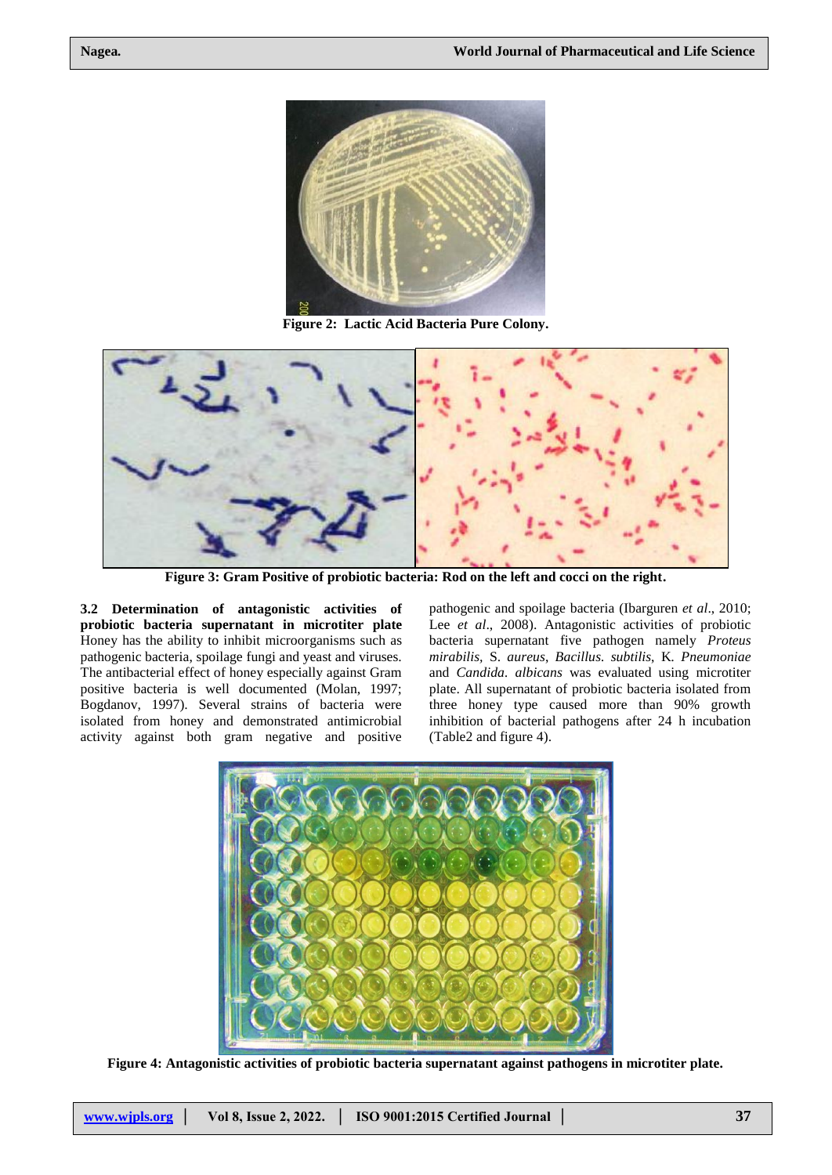

**Figure 2: Lactic Acid Bacteria Pure Colony.**



**Figure 3: Gram Positive of probiotic bacteria: Rod on the left and cocci on the right.**

**3.2 Determination of antagonistic activities of probiotic bacteria supernatant in microtiter plate** Honey has the ability to inhibit microorganisms such as pathogenic bacteria, spoilage fungi and yeast and viruses. The antibacterial effect of honey especially against Gram positive bacteria is well documented (Molan, 1997; Bogdanov, 1997). Several strains of bacteria were isolated from honey and demonstrated antimicrobial activity against both gram negative and positive

pathogenic and spoilage bacteria (Ibarguren *et al*., 2010; Lee *et al.*, 2008). Antagonistic activities of probiotic bacteria supernatant five pathogen namely *Proteus mirabilis,* S. *aureus*, *Bacillus. subtilis*, K*. Pneumoniae*  and *Candida. albicans* was evaluated using microtiter plate. All supernatant of probiotic bacteria isolated from three honey type caused more than 90% growth inhibition of bacterial pathogens after 24 h incubation (Table2 and figure 4).



**Figure 4: Antagonistic activities of probiotic bacteria supernatant against pathogens in microtiter plate.**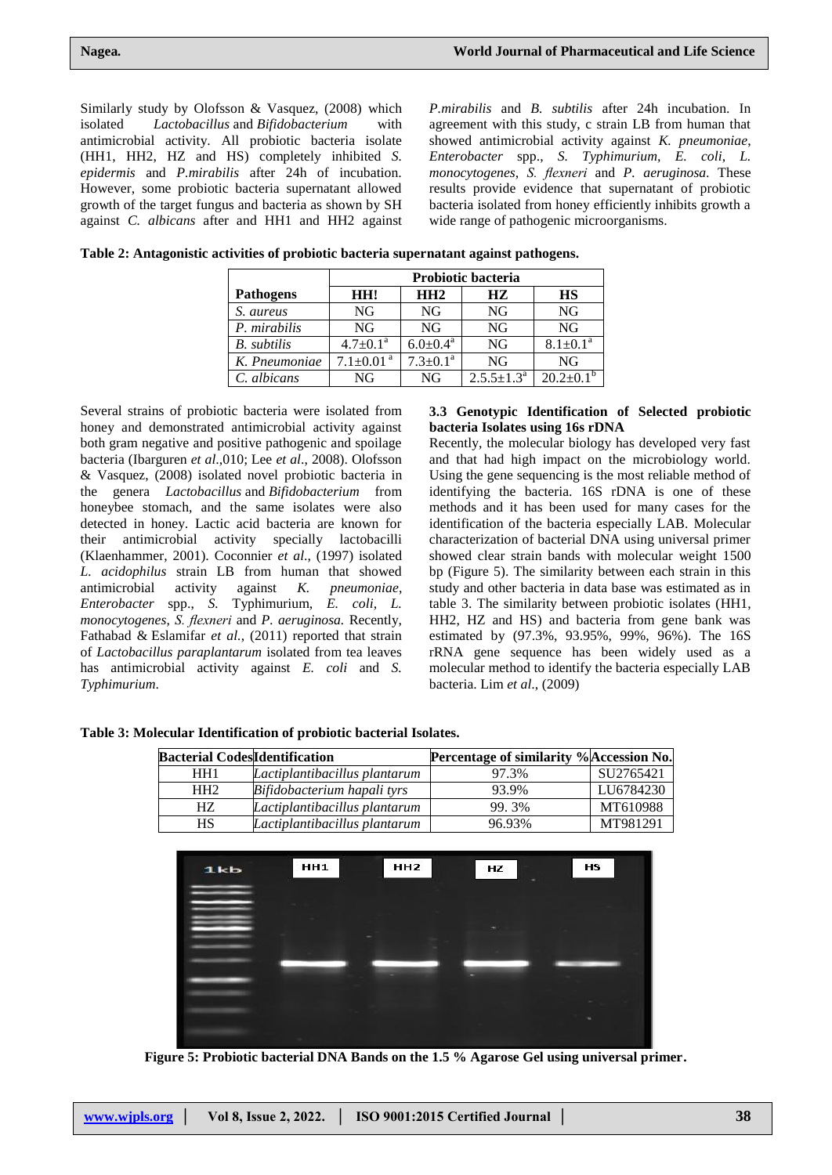Similarly study by Olofsson & Vasquez, (2008) which isolated *Lactobacillus* and *Bifidobacterium* with antimicrobial activity. All probiotic bacteria isolate (HH1, HH2, HZ and HS) completely inhibited *S. epidermis* and *P.mirabilis* after 24h of incubation. However, some probiotic bacteria supernatant allowed growth of the target fungus and bacteria as shown by SH against *C. albicans* after and HH1 and HH2 against

*P.mirabilis* and *B. subtilis* after 24h incubation. In agreement with this study, c strain LB from human that showed antimicrobial activity against *K. pneumoniae*, *Enterobacter* spp., *S. Typhimurium, E. coli*, *L. monocytogenes*, *S. flexneri* and *P. aeruginosa.* These results provide evidence that supernatant of probiotic bacteria isolated from honey efficiently inhibits growth a wide range of pathogenic microorganisms.

|                    | <b>Probiotic bacteria</b>   |                            |                            |                 |  |
|--------------------|-----------------------------|----------------------------|----------------------------|-----------------|--|
| <b>Pathogens</b>   | HH!                         | HH2                        | HZ.                        | <b>HS</b>       |  |
| S. aureus          | NG                          | NG                         | NG                         | NG              |  |
| P. mirabilis       | NG                          | NG                         | <b>NG</b>                  | NG              |  |
| <b>B.</b> subtilis | $4.7+0.1^a$                 | $6.0 \pm 0.4$ <sup>a</sup> | <b>NG</b>                  | $8.1 \pm 0.1^a$ |  |
| K. Pneumoniae      | $7.1 \pm 0.01$ <sup>a</sup> | $7.3 \pm 0.1^a$            | NG                         | NG              |  |
| C. albicans        | NG                          | NG                         | $2.5.5 \pm 1.3^{\text{a}}$ | $202+01$        |  |

| Table 2: Antagonistic activities of probiotic bacteria supernatant against pathogens. |  |  |
|---------------------------------------------------------------------------------------|--|--|
|                                                                                       |  |  |

Several strains of probiotic bacteria were isolated from honey and demonstrated antimicrobial activity against both gram negative and positive pathogenic and spoilage bacteria (Ibarguren *et al*.,010; Lee *et al*., 2008). Olofsson & Vasquez, (2008) isolated novel probiotic bacteria in the genera *Lactobacillus* and *Bifidobacterium* from honeybee stomach, and the same isolates were also detected in honey. Lactic acid bacteria are known for their antimicrobial activity specially lactobacilli (Klaenhammer, 2001). Coconnier *et al*., (1997) isolated *L. acidophilus* strain LB from human that showed antimicrobial activity against *K. pneumoniae*, *Enterobacter* spp., *S.* Typhimurium, *E. coli*, *L. monocytogenes*, *S. flexneri* and *P. aeruginosa.* Recently, Fathabad & Eslamifar *et al.*, (2011) reported that strain of *Lactobacillus paraplantarum* isolated from tea leaves has antimicrobial activity against *E. coli* and *S. Typhimurium*.

#### **3.3 Genotypic Identification of Selected probiotic bacteria Isolates using 16s rDNA**

Recently, the molecular biology has developed very fast and that had high impact on the microbiology world. Using the gene sequencing is the most reliable method of identifying the bacteria. 16S rDNA is one of these methods and it has been used for many cases for the identification of the bacteria especially LAB. Molecular characterization of bacterial DNA using universal primer showed clear strain bands with molecular weight 1500 bp (Figure 5). The similarity between each strain in this study and other bacteria in data base was estimated as in table 3. The similarity between probiotic isolates (HH1, HH2, HZ and HS) and bacteria from gene bank was estimated by (97.3%, 93.95%, 99%, 96%). The 16S rRNA gene sequence has been widely used as a molecular method to identify the bacteria especially LAB bacteria. Lim *et al*., (2009)

| Table 3: Molecular Identification of probiotic bacterial Isolates. |  |  |
|--------------------------------------------------------------------|--|--|
|--------------------------------------------------------------------|--|--|

| <b>Bacterial CodesIdentification</b> |                               | Percentage of similarity %Accession No. |           |
|--------------------------------------|-------------------------------|-----------------------------------------|-----------|
| HH 1                                 | Lactiplantibacillus plantarum | 97.3%                                   | SU2765421 |
| HH <sub>2</sub>                      | Bifidobacterium hapali tyrs   | 93.9%                                   | LU6784230 |
| HZ.                                  | Lactiplantibacillus plantarum | 99.3%                                   | MT610988  |
| HS                                   | Lactiplantibacillus plantarum | 96.93%                                  | MT981291  |



**Figure 5: Probiotic bacterial DNA Bands on the 1.5 % Agarose Gel using universal primer.**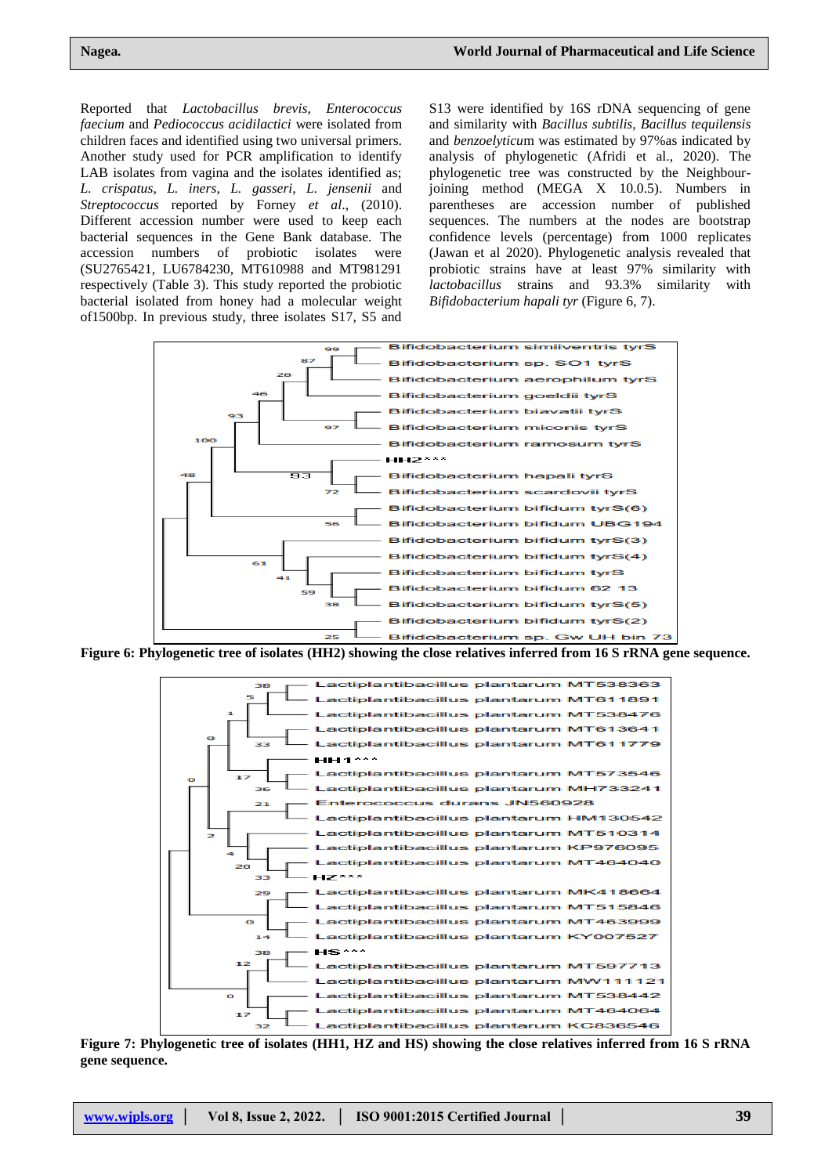Reported that *Lactobacillus brevis*, *Enterococcus faecium* and *Pediococcus acidilactici* were isolated from children faces and identified using two universal primers. Another study used for PCR amplification to identify LAB isolates from vagina and the isolates identified as; *L. crispatus*, *L. iners*, *L. gasseri*, *L. jensenii* and *Streptococcus* reported by Forney *et al*., (2010). Different accession number were used to keep each bacterial sequences in the Gene Bank database. The accession numbers of probiotic isolates were (SU2765421, LU6784230, MT610988 and MT981291 respectively (Table 3). This study reported the probiotic bacterial isolated from honey had a molecular weight of1500bp. In previous study, three isolates S17, S5 and

S13 were identified by 16S rDNA sequencing of gene and similarity with *Bacillus subtilis*, *Bacillus tequilensis* and *benzoelyticu*m was estimated by 97%as indicated by analysis of phylogenetic (Afridi et al., 2020). The phylogenetic tree was constructed by the Neighbourjoining method (MEGA X 10.0.5). Numbers in parentheses are accession number of published sequences. The numbers at the nodes are bootstrap confidence levels (percentage) from 1000 replicates (Jawan et al 2020). Phylogenetic analysis revealed that probiotic strains have at least 97% similarity with *lactobacillus* strains and 93.3% similarity with *[Bifidobacterium](https://www.ncbi.nlm.nih.gov/Taxonomy/Browser/wwwtax.cgi?mode=Info&id=1384064&lvl=3&lin=f&keep=1&srchmode=1&unlock) hapali tyr* (Figure 6, 7).



**Figure 6: Phylogenetic tree of isolates (HH2) showing the close relatives inferred from 16 S rRNA gene sequence.**



**Figure 7: Phylogenetic tree of isolates (HH1, HZ and HS) showing the close relatives inferred from 16 S rRNA gene sequence.**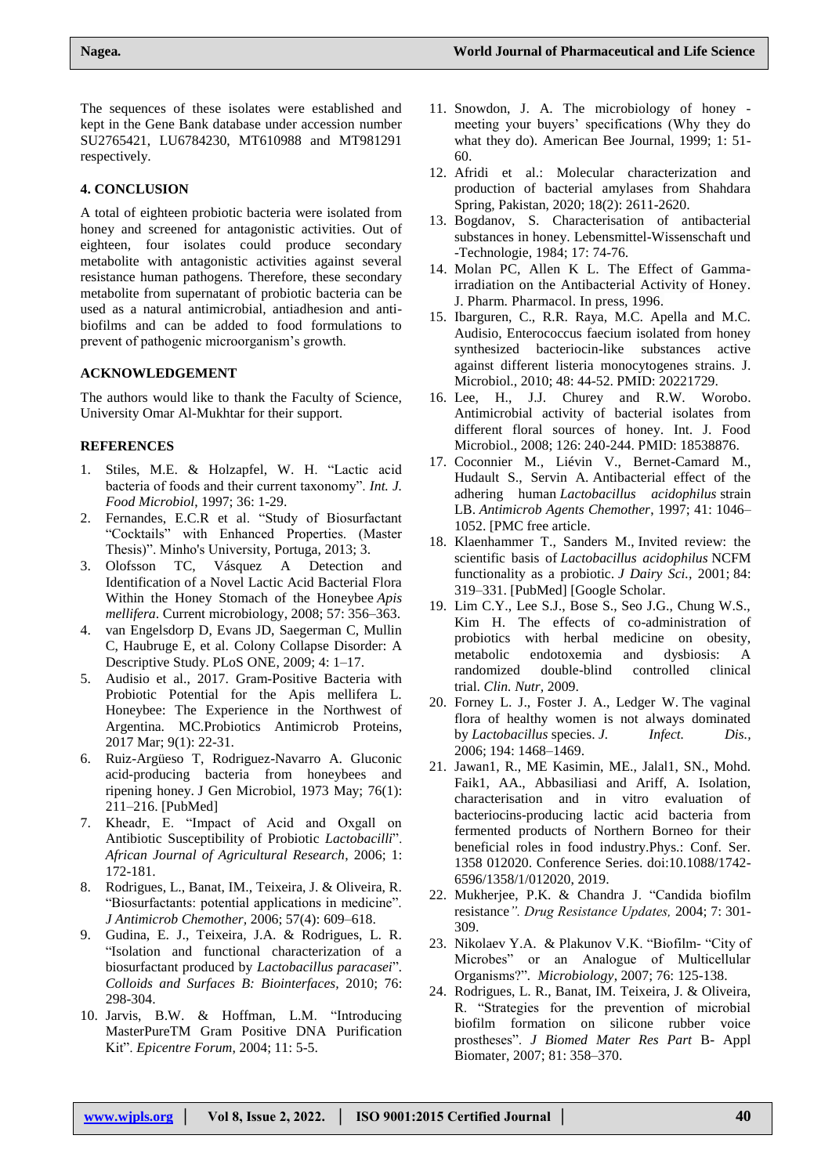The sequences of these isolates were established and kept in the Gene Bank database under accession number SU2765421, LU6784230, MT610988 and MT981291 respectively.

# **4. CONCLUSION**

A total of eighteen probiotic bacteria were isolated from honey and screened for antagonistic activities. Out of eighteen, four isolates could produce secondary metabolite with antagonistic activities against several resistance human pathogens. Therefore, these secondary metabolite from supernatant of probiotic bacteria can be used as a natural antimicrobial, antiadhesion and antibiofilms and can be added to food formulations to prevent of pathogenic microorganism's growth.

# **ACKNOWLEDGEMENT**

The authors would like to thank the Faculty of Science, University Omar Al-Mukhtar for their support.

# **REFERENCES**

- 1. Stiles, M.E. & Holzapfel, W. H. "Lactic acid bacteria of foods and their current taxonomy". *Int. J. Food Microbiol*, 1997; 36: 1-29.
- 2. Fernandes, E.C.R et al. "Study of Biosurfactant "Cocktails" with Enhanced Properties. (Master Thesis)". Minho's University, Portuga, 2013; 3.
- 3. Olofsson TC, Vásquez A Detection and Identification of a Novel Lactic Acid Bacterial Flora Within the Honey Stomach of the Honeybee *Apis mellifera*. Current microbiology, 2008; 57: 356–363.
- 4. van Engelsdorp D, Evans JD, Saegerman C, Mullin C, Haubruge E, et al. Colony Collapse Disorder: A Descriptive Study. PLoS ONE, 2009; 4: 1–17.
- 5. Audisio et al., 2017. [Gram-Positive Bacteria with](https://pubmed.ncbi.nlm.nih.gov/27655068/)  [Probiotic Potential for the Apis mellifera L.](https://pubmed.ncbi.nlm.nih.gov/27655068/)  [Honeybee: The Experience in the Northwest of](https://pubmed.ncbi.nlm.nih.gov/27655068/)  [Argentina.](https://pubmed.ncbi.nlm.nih.gov/27655068/) MC.Probiotics Antimicrob Proteins, 2017 Mar; 9(1): 22-31.
- 6. Ruiz-Argüeso T, Rodriguez-Navarro A. Gluconic acid-producing bacteria from honeybees and ripening honey. J Gen Microbiol, 1973 May; 76(1): 211–216. [\[PubMed\]](https://www.ncbi.nlm.nih.gov/pubmed/4579122)
- 7. Kheadr, E. "Impact of Acid and Oxgall on Antibiotic Susceptibility of Probiotic *Lactobacilli*". *African Journal of Agricultural Research*, 2006; 1: 172-181.
- 8. Rodrigues, L., Banat, IM., Teixeira, J. & Oliveira, R. "Biosurfactants: potential applications in medicine". *J Antimicrob Chemother,* 2006; 57(4): 609–618.
- 9. Gudina, E. J., Teixeira, J.A. & Rodrigues, L. R. "Isolation and functional characterization of a biosurfactant produced by *Lactobacillus paracasei*"*. Colloids and Surfaces B: Biointerfaces,* 2010; 76: 298-304.
- 10. Jarvis, B.W. & Hoffman, L.M. "Introducing MasterPureTM Gram Positive DNA Purification Kit". *Epicentre Forum*, 2004; 11: 5-5.
- 11. Snowdon, J. A. The microbiology of honey meeting your buyers' specifications (Why they do what they do). American Bee Journal, 1999; 1: 51- 60.
- 12. Afridi et al.: Molecular characterization and production of bacterial amylases from Shahdara Spring, Pakistan, 2020; 18(2): 2611-2620.
- 13. Bogdanov, S. Characterisation of antibacterial substances in honey. Lebensmittel-Wissenschaft und -Technologie, 1984; 17: 74-76.
- 14. Molan PC, Allen K L. The Effect of Gammairradiation on the Antibacterial Activity of Honey. J. Pharm. Pharmacol. In press, 1996.
- 15. Ibarguren, C., R.R. Raya, M.C. Apella and M.C. Audisio, Enterococcus faecium isolated from honey synthesized bacteriocin-like substances active against different listeria monocytogenes strains. J. Microbiol., 2010; 48: 44-52. PMID: 20221729.
- 16. Lee, H., J.J. Churey and R.W. Worobo. Antimicrobial activity of bacterial isolates from different floral sources of honey. Int. J. Food Microbiol., 2008; 126: 240-244. PMID: 18538876.
- 17. Coconnier M., Liévin V., Bernet-Camard M., Hudault S., Servin A. Antibacterial effect of the adhering human *Lactobacillus acidophilus* strain LB. *Antimicrob Agents Chemother*, 1997; 41: 1046– 1052. [\[PMC free article.](https://www.ncbi.nlm.nih.gov/pmc/articles/PMC163848/)
- 18. Klaenhammer T., Sanders M., Invited review: the scientific basis of *Lactobacillus acidophilus* NCFM functionality as a probiotic. *J Dairy Sci.,* 2001; 84: 319–331. [\[PubMed\]](https://www.ncbi.nlm.nih.gov/pubmed/11233016) [\[Google Scholar.](https://scholar.google.com/scholar_lookup?journal=J+Dairy+Sci&title=Invited+review:+the+scientific+basis+of+Lactobacillus+acidophilus+NCFM+functionality+as+a+probiotic&author=M.+Sanders&author=T.+Klaenhammer&volume=84&publication_year=2001&pages=319-331&pmid=11233016&)
- 19. Lim C.Y., Lee S.J., Bose S., Seo J.G., Chung W.S., Kim H. The effects of co-administration of probiotics with herbal medicine on obesity, metabolic endotoxemia and dysbiosis: A randomized double-blind controlled clinical trial. *Clin. Nutr,* 2009.
- 20. Forney L. J., Foster J. A., Ledger W. The vaginal flora of healthy women is not always dominated by *Lactobacillus* species. *J. Infect. Dis.,*  2006; 194: 1468–1469.
- 21. Jawan1, R., ME Kasimin, ME., Jalal1, SN., Mohd. Faik1, AA., Abbasiliasi and Ariff, A. Isolation, characterisation and in vitro evaluation of bacteriocins-producing lactic acid bacteria from fermented products of Northern Borneo for their beneficial roles in food industry.Phys.: Conf. Ser. 1358 012020. Conference Series. doi:10.1088/1742- 6596/1358/1/012020, 2019.
- 22. Mukherjee, P.K. & Chandra J. "Candida biofilm resistance*". Drug Resistance Updates,* 2004; 7: 301- 309.
- 23. Nikolaev Y.A. & Plakunov V.K. "Biofilm- "City of Microbes" or an Analogue of Multicellular Organisms?"*. Microbiology*, 2007; 76: 125-138.
- 24. Rodrigues, L. R., Banat, IM. Teixeira, J. & Oliveira, R. "Strategies for the prevention of microbial biofilm formation on silicone rubber voice prostheses". *J Biomed Mater Res Part* B- Appl Biomater, 2007; 81: 358–370.